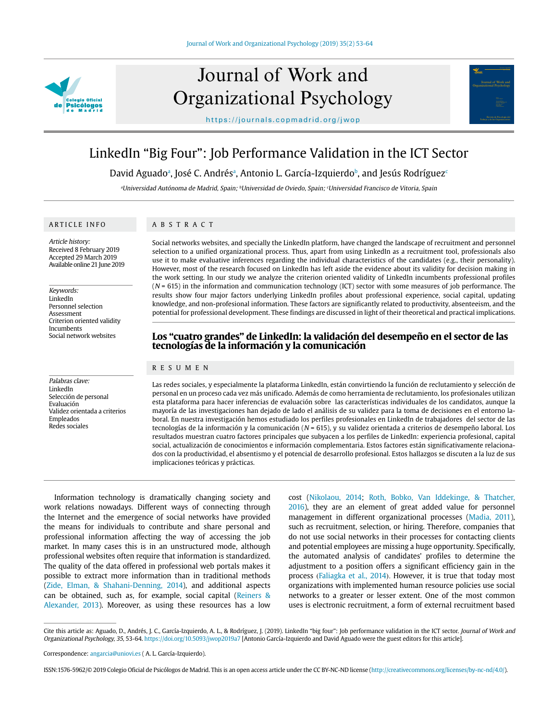

# Journal of Work and Organizational Psychology

https://journals.copmadrid.org/jwop

# LinkedIn "Big Four": Job Performance Validation in the ICT Sector

David Aguadoª, José C. Andrésª, Antonio L. García-Izquierdoʰ, and Jesús Rodríguez $^\circ$ 

aUniversidad Autónoma de Madrid, Spain; bUniversidad de Oviedo, Spain; <sup>c</sup>Universidad Francisco de Vitoria, Spain

# ARTICLE INFO

Article history: Received 8 February 2019 Accepted 29 March 2019 Available online 21 June 2019

Keywords: LinkedIn Personnel selection Assessment Criterion oriented validity Incumbents Social network websites

Palabras clave: LinkedIn Selección de personal Evaluación Validez orientada a criterios Empleados Redes sociales

# ABSTRACT

Social networks websites, and specially the LinkedIn platform, have changed the landscape of recruitment and personnel selection to a unified organizational process. Thus, apart from using LinkedIn as a recruitment tool, professionals also use it to make evaluative inferences regarding the individual characteristics of the candidates (e.g., their personality). However, most of the research focused on LinkedIn has left aside the evidence about its validity for decision making in the work setting. In our study we analyze the criterion oriented validity of LinkedIn incumbents professional profiles  $(N = 615)$  in the information and communication technology (ICT) sector with some measures of job performance. The results show four major factors underlying LinkedIn profiles about professional experience, social capital, updating knowledge, and non-profesional information. These factors are significantly related to productivity, absenteeism, and the potential for professional development. These findings are discussed in light of their theoretical and practical implications.

# **Los "cuatro grandes" de LinkedIn: la validación del desempeño en el sector de las tecnologías de la información y la comunicación**

# RESUMEN

Las redes sociales, y especialmente la plataforma LinkedIn, están convirtiendo la función de reclutamiento y selección de personal en un proceso cada vez más unificado. Además de como herramienta de reclutamiento, los profesionales utilizan esta plataforma para hacer inferencias de evaluación sobre las características individuales de los candidatos, aunque la mayoría de las investigaciones han dejado de lado el análisis de su validez para la toma de decisiones en el entorno laboral. En nuestra investigación hemos estudiado los perfiles profesionales en LinkedIn de trabajadores del sector de las tecnologías de la información y la comunicación ( $N = 615$ ), y su validez orientada a criterios de desempeño laboral. Los resultados muestran cuatro factores principales que subyacen a los perfiles de LinkedIn: experiencia profesional, capital social, actualización de conocimientos e información complementaria. Estos factores están significativamente relacionados con la productividad, el absentismo y el potencial de desarrollo profesional. Estos hallazgos se discuten a la luz de sus implicaciones teóricas y prácticas.

Information technology is dramatically changing society and work relations nowadays. Different ways of connecting through the Internet and the emergence of social networks have provided the means for individuals to contribute and share personal and professional information affecting the way of accessing the job market. In many cases this is in an unstructured mode, although professional websites often require that information is standardized. The quality of the data offered in professional web portals makes it possible to extract more information than in traditional methods [\(Zide, Elman, & Shahani-Denning, 2014](#page-11-0)), and additional aspects can be obtained, such as, for example, social capital ([Reiners &](#page-11-1)  [Alexander, 2013\)](#page-11-1). Moreover, as using these resources has a low

cost ([Nikolaou, 2014](#page-10-0); [Roth, Bobko, Van Iddekinge, & Thatcher,](#page-11-2) [2016](#page-11-2)), they are an element of great added value for personnel management in different organizational processes [\(Madia, 2011](#page-10-1)), such as recruitment, selection, or hiring. Therefore, companies that do not use social networks in their processes for contacting clients and potential employees are missing a huge opportunity. Specifically, the automated analysis of candidates' profiles to determine the adjustment to a position offers a significant efficiency gain in the process ([Faliagka et al., 2014](#page-10-2)). However, it is true that today most organizations with implemented human resource policies use social networks to a greater or lesser extent. One of the most common uses is electronic recruitment, a form of external recruitment based

Journal of Work and

Cite this article as: Aguado, D., Andrés, J. C., García-Izquierdo, A. L., & Rodríguez, J. (2019). LinkedIn "big four": Job performance validation in the ICT sector. Journal of Work and Organizational Psychology, 35, 53-64. https://doi.org/10.5093/jwop2019a7 [Antonio García-Izquierdo and David Aguado were the guest editors for this article].

ISSN:1576-5962/© 2019 Colegio Oficial de Psicólogos de Madrid. This is an open access article under the CC BY-NC-ND license (http://creativecommons.org/licenses/by-nc-nd/4.0/).

Correspondence: angarcia@uniovi.es ( A. L. García-Izquierdo).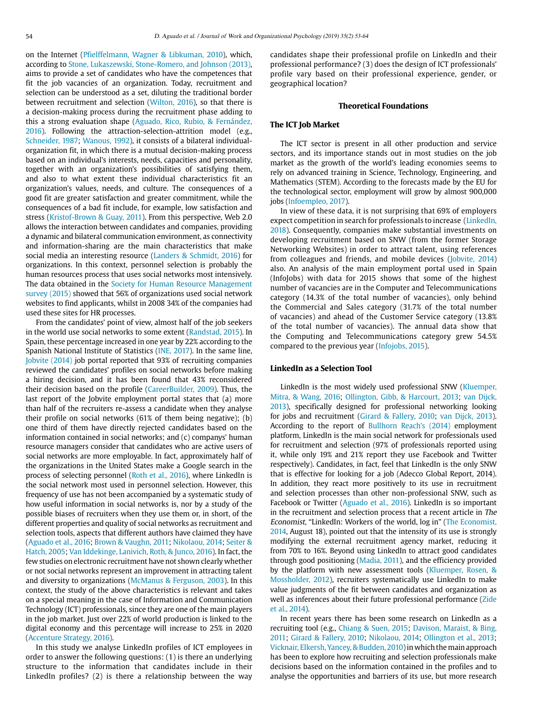on the Internet ([Pfielffelmann, Wagner & Libkuman, 2010](#page-11-3)), which, according to [Stone, Lukaszewski, Stone-Romero, and Johnson \(2013\),](#page-11-4) aims to provide a set of candidates who have the competences that fit the job vacancies of an organization. Today, recruitment and selection can be understood as a set, diluting the traditional border between recruitment and selection [\(Wilton, 2016\)](#page-11-5), so that there is a decision-making process during the recruitment phase adding to this a strong evaluation shape ([Aguado, Rico, Rubio, & Fernández,](#page-9-0)  [2016\)](#page-9-0). Following the attraction-selection-attrition model (e.g., [Schneider, 1987;](#page-11-6) [Wanous, 1992\)](#page-11-7), it consists of a bilateral individualorganization fit, in which there is a mutual decision-making process based on an individual's interests, needs, capacities and personality, together with an organization's possibilities of satisfying them, and also to what extent these individual characteristics fit an organization's values, needs, and culture. The consequences of a good fit are greater satisfaction and greater commitment, while the consequences of a bad fit include, for example, low satisfaction and stress ([Kristof-Brown & Guay, 2011](#page-10-3)). From this perspective, Web 2.0 allows the interaction between candidates and companies, providing a dynamic and bilateral communication environment, as connectivity and information-sharing are the main characteristics that make social media an interesting resource [\(Landers & Schmidt, 2016\)](#page-10-4) for organizations. In this context, personnel selection is probably the human resources process that uses social networks most intensively. The data obtained in the [Society for Human Resource Management](#page-11-8)  [survey \(2015\)](#page-11-8) showed that 56% of organizations used social network websites to find applicants, whilst in 2008 34% of the companies had used these sites for HR processes.

From the candidates' point of view, almost half of the job seekers in the world use social networks to some extent [\(Randstad, 2015\)](#page-11-9). In Spain, these percentage increased in one year by 22% according to the Spanish National Institute of Statistics [\(INE, 2017\)](#page-10-5). In the same line, [Jobvite \(2014\)](#page-10-6) job portal reported that 93% of recruiting companies reviewed the candidates' profiles on social networks before making a hiring decision, and it has been found that 43% reconsidered their decision based on the profile ([CareerBuilder, 2009\)](#page-10-7). Thus, the last report of the Jobvite employment portal states that (a) more than half of the recruiters re-assess a candidate when they analyse their profile on social networks (61% of them being negative); (b) one third of them have directly rejected candidates based on the information contained in social networks; and (c) companys' human resource managers consider that candidates who are active users of social networks are more employable. In fact, approximately half of the organizations in the United States make a Google search in the process of selecting personnel [\(Roth et al., 2016\)](#page-11-2), where LinkedIn is the social network most used in personnel selection. However, this frequency of use has not been accompanied by a systematic study of how useful information in social networks is, nor by a study of the possible biases of recruiters when they use them or, in short, of the different properties and quality of social networks as recruitment and selection tools, aspects that different authors have claimed they have [\(Aguado et al., 2016](#page-9-0); [Brown & Vaughn, 2011;](#page-9-1) [Nikolaou, 2014;](#page-10-0) [Seiter &](#page-11-10)  [Hatch, 2005;](#page-11-10) [Van Iddekinge, Lanivich, Roth, & Junco, 2016\)](#page-11-11). In fact, the few studies on electronic recruitment have not shown clearly whether or not social networks represent an improvement in attracting talent and diversity to organizations ([McManus & Ferguson, 2003\)](#page-10-8). In this context, the study of the above characteristics is relevant and takes on a special meaning in the case of Information and Communication Technology (ICT) professionals, since they are one of the main players in the job market. Just over 22% of world production is linked to the digital economy and this percentage will increase to 25% in 2020 [\(Accenture Strategy, 2016\)](#page-9-2).

In this study we analyse LinkedIn profiles of ICT employees in order to answer the following questions: (1) is there an underlying structure to the information that candidates include in their LinkedIn profiles? (2) is there a relationship between the way candidates shape their professional profile on LinkedIn and their professional performance? (3) does the design of ICT professionals' profile vary based on their professional experience, gender, or geographical location?

#### **Theoretical Foundations**

#### **The ICT Job Market**

The ICT sector is present in all other production and service sectors, and its importance stands out in most studies on the job market as the growth of the world's leading economies seems to rely on advanced training in Science, Technology, Engineering, and Mathematics (STEM). According to the forecasts made by the EU for the technological sector, employment will grow by almost 900,000 jobs ([Infoempleo, 2017](#page-10-9)).

In view of these data, it is not surprising that 69% of employers expect competition in search for professionals to increase ([LinkedIn,](#page-10-10) [2018](#page-10-10)). Consequently, companies make substantial investments on developing recruitment based on SNW (from the former Storage Networking Websites) in order to attract talent, using references from colleagues and friends, and mobile devices ([Jobvite, 2014](#page-10-6)) also. An analysis of the main employment portal used in Spain (InfoJobs) with data for 2015 shows that some of the highest number of vacancies are in the Computer and Telecommunications category (14.3% of the total number of vacancies), only behind the Commercial and Sales category (31.7% of the total number of vacancies) and ahead of the Customer Service category (13.8% of the total number of vacancies). The annual data show that the Computing and Telecommunications category grew 54.5% compared to the previous year ([Infojobs, 2015\)](#page-10-9).

# **LinkedIn as a Selection Tool**

LinkedIn is the most widely used professional SNW ([Kluemper,](#page-10-11) [Mitra, & Wang, 2016;](#page-10-11) [Ollington,](#page-10-12) Gibb, & Harcourt, 2013; [van Dijck,](#page-11-11) [2013](#page-11-11)), specifically designed for professional networking looking for jobs and recruitment ([Girard & Fallery, 2010;](#page-10-13) [van Dijck, 2013](#page-11-11)). According to the report of [Bullhorn Reach's \(2014\)](#page-9-3) employment platform, LinkedIn is the main social network for professionals used for recruitment and selection (97% of professionals reported using it, while only 19% and 21% report they use Facebook and Twitter respectively). Candidates, in fact, feel that LinkedIn is the only SNW that is effective for looking for a job (Adecco Global Report, 2014). In addition, they react more positively to its use in recruitment and selection processes than other non-professional SNW, such as Facebook or Twitter [\(Aguado et al., 2016](#page-9-0)). LinkedIn is so important in the recruitment and selection process that a recent article in The Economist, "LinkedIn: Workers of the world, log in" [\(The Economist,](#page-11-12) [2014](#page-11-12), August 18), pointed out that the intensity of its use is strongly modifying the external recruitment agency market, reducing it from 70% to 16%. Beyond using LinkedIn to attract good candidates through good positioning ([Madia, 2011\)](#page-10-1), and the efficiency provided by the platform with new assessment tools ([Kluemper, Rosen, &](#page-10-11) [Mossholder, 2012\)](#page-10-11), recruiters systematically use LinkedIn to make value judgments of the fit between candidates and organization as well as inferences about their future professional performance [\(Zide](#page-11-0) [et al., 2014](#page-11-0)).

In recent years there has been some research on LinkedIn as a recruiting tool (e.g., [Chiang & Suen, 2015](#page-10-14); [Davison, Maraist, & Bing,](#page-10-15) [2011;](#page-10-15) [Girard & Fallery, 2010;](#page-10-13) [Nikolaou, 2014](#page-10-0); [Ollington et al., 2013](#page-10-12); [Vicknair, Elkersh, Yancey, & Budden, 2010\)](#page-11-13) in which the main approach has been to explore how recruiting and selection professionals make decisions based on the information contained in the profiles and to analyse the opportunities and barriers of its use, but more research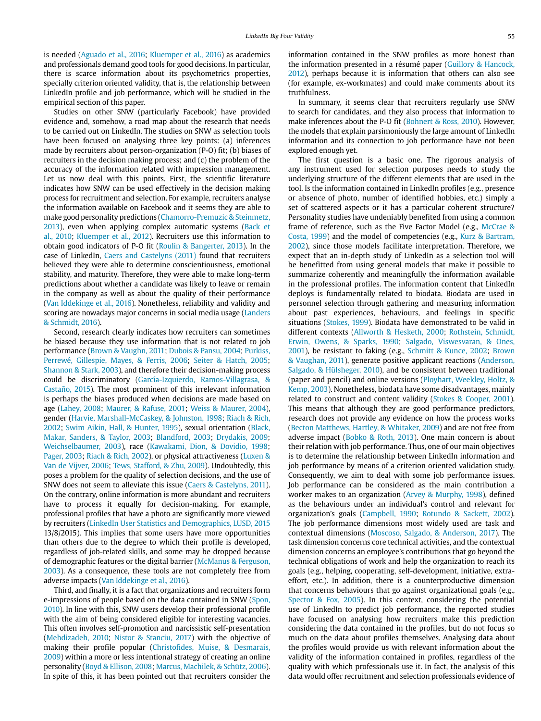is needed [\(Aguado et al., 2016;](#page-9-0) [Kluemper et al., 2016\)](#page-10-11) as academics and professionals demand good tools for good decisions. In particular, there is scarce information about its psychometrics properties, specially criterion oriented validity, that is, the relationship between LinkedIn profile and job performance, which will be studied in the empirical section of this paper.

Studies on other SNW (particularly Facebook) have provided evidence and, somehow, a road map about the research that needs to be carried out on LinkedIn. The studies on SNW as selection tools have been focused on analysing three key points: (a) inferences made by recruiters about person-organization (P-O) fit; (b) biases of recruiters in the decision making process; and (c) the problem of the accuracy of the information related with impression management. Let us now deal with this points. First, the scientific literature indicates how SNW can be used effectively in the decision making process for recruitment and selection. For example, recruiters analyse the information available on Facebook and it seems they are able to make good personality predictions [\(Chamorro-Premuzic & Steinmetz,](#page-10-14)  [2013\)](#page-10-14), even when applying complex automatic systems [\(Back et](#page-9-4)  [al., 2010;](#page-9-4) [Kluemper et al., 2012](#page-10-11)). Recruiters use this information to obtain good indicators of P-O fit [\(Roulin & Bangerter, 2013\)](#page-11-14). In the case of LinkedIn, [Caers and Castelyns \(2011\)](#page-9-5) found that recruiters believed they were able to determine conscientiousness, emotional stability, and maturity. Therefore, they were able to make long-term predictions about whether a candidate was likely to leave or remain in the company as well as about the quality of their performance [\(Van Iddekinge et al., 2016\)](#page-11-11). Nonetheless, reliability and validity and scoring are nowadays major concerns in social media usage [\(Landers](#page-10-4)  [& Schmidt, 2016](#page-10-4)).

Second, research clearly indicates how recruiters can sometimes be biased because they use information that is not related to job performance ([Brown & Vaughn, 2011](#page-9-1); [Dubois & Pansu, 2004;](#page-10-16) [Purkiss,](#page-11-15)  [Perrewé, Gillespie, Mayes, & Ferris, 2006](#page-11-15); [Seiter & Hatch, 2005;](#page-11-10) [Shannon & Stark, 2003](#page-11-16)), and therefore their decision-making process could be discriminatory (García-Izquierdo, Ramos-Villagrasa, & Castaño, 2015). The most prominent of this irrelevant information is perhaps the biases produced when decisions are made based on age ([Lahey, 2008](#page-10-17); [Maurer, & Rafuse, 2001;](#page-10-18) [Weiss & Maurer, 2004\)](#page-11-17), gender ([Harvie, Marshall-McCaskey, & Johnston, 1998;](#page-10-19) [Riach & Rich,](#page-11-18)  [2002;](#page-11-18) [Swim Aikin, Hall, & Hunter, 1995](#page-11-19)), sexual orientation [\(Black,](#page-9-6)  [Makar, Sanders, & Taylor, 2003;](#page-9-6) [Blandford, 2003;](#page-9-6) [Drydakis, 2009;](#page-10-20) [Weichselbaumer, 2003\)](#page-11-17), race [\(Kawakami, Dion, & Dovidio, 1998;](#page-10-21) [Pager, 2003](#page-11-20); [Riach & Rich, 2002\)](#page-11-18), or physical attractiveness [\(Luxen &](#page-10-22)  [Van de Vijver, 2006;](#page-10-22) [Tews, Stafford, & Zhu, 2009](#page-11-21)). Undoubtedly, this poses a problem for the quality of selection decisions, and the use of SNW does not seem to alleviate this issue [\(Caers & Castelyns, 2011\)](#page-9-5). On the contrary, online information is more abundant and recruiters have to process it equally for decision-making. For example, professional profiles that have a photo are significantly more viewed by recruiters (LinkedIn User Statistics and Demographics, LUSD, 2015 13/8/2015). This implies that some users have more opportunities than others due to the degree to which their profile is developed, regardless of job-related skills, and some may be dropped because of demographic features or the digital barrier [\(McManus & Ferguson,](#page-10-8)  [2003\)](#page-10-8). As a consequence, these tools are not completely free from adverse impacts ([Van Iddekinge et al., 2016](#page-11-11)).

Third, and finally, it is a fact that organizations and recruiters form e-impressions of people based on the data contained in SNW ([Spon,](#page-11-8)  [2010\)](#page-11-8). In line with this, SNW users develop their professional profile with the aim of being considered eligible for interesting vacancies. This often involves self-promotion and narcissistic self-presentation [\(Mehdizadeh, 2](#page-10-23)010; [Nistor & Stanciu, 2017\)](#page-10-24) with the objective of making their profile popular [\(Christofides, Muise, & Desmarais,](#page-10-25)  [2009\)](#page-10-25) within a more or less intentional strategy of creating an online personality ([Boyd & E](#page-9-7)llison, 2008; [Marcus, Machilek, & Schütz, 2006\)](#page-10-26). In spite of this, it has been pointed out that recruiters consider the

information contained in the SNW profiles as more honest than the information presented in a résumé paper ([Guillory & Hancock,](#page-10-27)  [2012](#page-10-27)), perhaps because it is information that others can also see (for example, ex-workmates) and could make comments about its truthfulness.

In summary, it seems clear that recruiters regularly use SNW to search for candidates, and they also process that information to make inferences about the P-O fit [\(Bohnert & Ross, 2010\)](#page-9-8). However, the models that explain parsimoniously the large amount of LinkedIn information and its connection to job performance have not been explored enough yet.

The first question is a basic one. The rigorous analysis of any instrument used for selection purposes needs to study the underlying structure of the different elements that are used in the tool. Is the information contained in LinkedIn profiles (e.g., presence or absence of photo, number of identified hobbies, etc.) simply a set of scattered aspects or it has a particular coherent structure? Personality studies have undeniably benefited from using a common frame of reference, such as the Five Factor Model (e.g., McCrae & [Costa, 1999](#page-10-8)) and the model of competencies (e.g., [Kurz & Bartram,](#page-10-28)  [2002](#page-10-28)), since those models facilitate interpretation. Therefore, we expect that an in-depth study of LinkedIn as a selection tool will be benefitted from using general models that make it possible to summarize coherently and meaningfully the information available in the professional profiles. The information content that LinkedIn deploys is fundamentally related to biodata. Biodata are used in personnel selection through gathering and measuring information about past experiences, behaviours, and feelings in specific situations [\(Stokes, 1999](#page-11-4)). Biodata have demonstrated to be valid in different contexts ([Allworth & Hesketh, 2000;](#page-9-9) [Rothstein, Schmidt,](#page-11-2)  [Erwin, Owens, & Sparks, 1990](#page-11-2); [Salgado, Viswesvaran, & Ones,](#page-11-22)  [2001\)](#page-11-22), be resistant to faking (e.g., [Schmitt & Kunce, 2002;](#page-11-6) [Brown](#page-9-1)  [& Vaughan, 2011\)](#page-9-1), generate positive applicant reactions (Anderson, Salgado, & Hülsheger, 2010), and be consistent between traditional (paper and pencil) and online versions [\(Ployhart, Weekley, Holtz, &](#page-11-23)  [Kemp, 2003](#page-11-23)). Nonetheless, biodata have some disadvantages, mainly related to construct and content validity [\(Stokes & Cooper, 2001](#page-11-4)). This means that although they are good performance predictors, research does not provide any evidence on how the process works [\(Becton Matthews, Hartley, & Whitaker, 2009\)](#page-9-10) and are not free from adverse impact (Bobko & Roth, 2013). One main concern is about their relation with job performance. Thus, one of our main objectives is to determine the relationship between LinkedIn information and job performance by means of a criterion oriented validation study. Consequently, we aim to deal with some job performance issues. Job performance can be considered as the main contribution a worker makes to an organization [\(Arvey & Murphy, 1998](#page-9-11)), defined as the behaviours under an individual's control and relevant for organization's goals [\(Campbell, 1990](#page-10-29); [Rotundo & Sackett, 2002](#page-11-2)). The job performance dimensions most widely used are task and contextual dimensions [\(Moscoso, Salgado, & Anderson, 2017](#page-10-30)). The task dimension concerns core technical activities, and the contextual dimension concerns an employee's contributions that go beyond the technical obligations of work and help the organization to reach its goals (e.g., helping, cooperating, self-development, initiative, extraeffort, etc.). In addition, there is a counterproductive dimension that concerns behaviours that go against organizational goals (e.g., [Spector & Fox, 2005](#page-11-24)). In this context, considering the potential use of LinkedIn to predict job performance, the reported studies have focused on analysing how recruiters make this prediction considering the data contained in the profiles, but do not focus so much on the data about profiles themselves. Analysing data about the profiles would provide us with relevant information about the validity of the information contained in profiles, regardless of the quality with which professionals use it. In fact, the analysis of this data would offer recruitment and selection professionals evidence of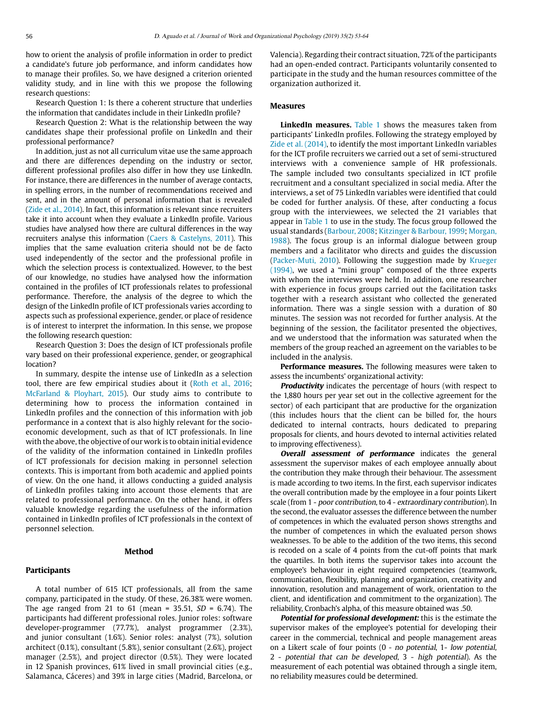how to orient the analysis of profile information in order to predict a candidate's future job performance, and inform candidates how to manage their profiles. So, we have designed a criterion oriented validity study, and in line with this we propose the following research questions:

Research Question 1: Is there a coherent structure that underlies the information that candidates include in their LinkedIn profile?

Research Question 2: What is the relationship between the way candidates shape their professional profile on LinkedIn and their professional performance?

In addition, just as not all curriculum vitae use the same approach and there are differences depending on the industry or sector, different professional profiles also differ in how they use LinkedIn. For instance, there are differences in the number of average contacts, in spelling errors, in the number of recommendations received and sent, and in the amount of personal information that is revealed [\(Zide et al., 2014\)](#page-11-0). In fact, this information is relevant since recruiters take it into account when they evaluate a LinkedIn profile. Various studies have analysed how there are cultural differences in the way recruiters analyse this information [\(Caers & Castelyns, 2011](#page-9-5)). This implies that the same evaluation criteria should not be de facto used independently of the sector and the professional profile in which the selection process is contextualized. However, to the best of our knowledge, no studies have analysed how the information contained in the profiles of ICT professionals relates to professional performance. Therefore, the analysis of the degree to which the design of the LinkedIn profile of ICT professionals varies according to aspects such as professional experience, gender, or place of residence is of interest to interpret the information. In this sense, we propose the following research question:

Research Question 3: Does the design of ICT professionals profile vary based on their professional experience, gender, or geographical location?

In summary, despite the intense use of LinkedIn as a selection tool, there are few empirical studies about it ([Roth et al., 2016;](#page-11-2) [McFarland & Ployhart, 2015](#page-10-8)). Our study aims to contribute to determining how to process the information contained in LinkedIn profiles and the connection of this information with job performance in a context that is also highly relevant for the socioeconomic development, such as that of ICT professionals. In line with the above, the objective of our work is to obtain initial evidence of the validity of the information contained in LinkedIn profiles of ICT professionals for decision making in personnel selection contexts. This is important from both academic and applied points of view. On the one hand, it allows conducting a guided analysis of LinkedIn profiles taking into account those elements that are related to professional performance. On the other hand, it offers valuable knowledge regarding the usefulness of the information contained in LinkedIn profiles of ICT professionals in the context of personnel selection.

#### **Method**

#### **Participants**

A total number of 615 ICT professionals, all from the same company, participated in the study. Of these, 26.38% were women. The age ranged from 21 to 61 (mean = 35.51,  $SD = 6.74$ ). The participants had different professional roles. Junior roles: software developer-programmer (77.7%), analyst programmer (2.3%), and junior consultant (1.6%). Senior roles: analyst (7%), solution architect (0.1%), consultant (5.8%), senior consultant (2.6%), project manager (2.5%), and project director (0.5%). They were located in 12 Spanish provinces, 61% lived in small provincial cities (e.g., Salamanca, Cáceres) and 39% in large cities (Madrid, Barcelona, or Valencia). Regarding their contract situation, 72% of the participants had an open-ended contract. Participants voluntarily consented to participate in the study and the human resources committee of the organization authorized it.

# **Measures**

**LinkedIn measures.** [Table 1](#page-4-0) shows the measures taken from participants' LinkedIn profiles. Following the strategy employed by [Zide et al. \(2014\),](#page-11-0) to identify the most important LinkedIn variables for the ICT profile recruiters we carried out a set of semi-structured interviews with a convenience sample of HR professionals. The sample included two consultants specialized in ICT profile recruitment and a consultant specialized in social media. After the interviews, a set of 75 LinkedIn variables were identified that could be coded for further analysis. Of these, after conducting a focus group with the interviewees, we selected the 21 variables that appear in [Table 1](#page-4-0) to use in the study. The focus group followed the usual standards ([Barbour, 2008;](#page-9-12) [Kitzinger & Barbour, 1999;](#page-10-31) [Morgan,](#page-10-32) [1988\)](#page-10-32). The focus group is an informal dialogue between group members and a facilitator who directs and guides the discussion ([Packer-Muti, 2010](#page-11-25)). Following the suggestion made by [Krueger](#page-10-33) [\(1994\)](#page-10-33), we used a "mini group" composed of the three experts with whom the interviews were held. In addition, one researcher with experience in focus groups carried out the facilitation tasks together with a research assistant who collected the generated information. There was a single session with a duration of 80 minutes. The session was not recorded for further analysis. At the beginning of the session, the facilitator presented the objectives, and we understood that the information was saturated when the members of the group reached an agreement on the variables to be included in the analysis.

**Performance measures.** The following measures were taken to assess the incumbents' organizational activity:

**Productivity** indicates the percentage of hours (with respect to the 1,880 hours per year set out in the collective agreement for the sector) of each participant that are productive for the organization (this includes hours that the client can be billed for, the hours dedicated to internal contracts, hours dedicated to preparing proposals for clients, and hours devoted to internal activities related to improving effectiveness).

**Overall assessment of performance** indicates the general assessment the supervisor makes of each employee annually about the contribution they make through their behaviour. The assessment is made according to two items. In the first, each supervisor indicates the overall contribution made by the employee in a four points Likert scale (from 1 - poor contribution, to 4 - extraordinary contribution). In the second, the evaluator assesses the difference between the number of competences in which the evaluated person shows strengths and the number of competences in which the evaluated person shows weaknesses. To be able to the addition of the two items, this second is recoded on a scale of 4 points from the cut-off points that mark the quartiles. In both items the supervisor takes into account the employee's behaviour in eight required competencies (teamwork, communication, flexibility, planning and organization, creativity and innovation, resolution and management of work, orientation to the client, and identification and commitment to the organization). The reliability, Cronbach's alpha, of this measure obtained was .50.

**Potential for professional development:** this is the estimate the supervisor makes of the employee's potential for developing their career in the commercial, technical and people management areas on a Likert scale of four points (0 - no potential, 1- low potential, 2 - potential that can be developed, 3 - high potential). As the measurement of each potential was obtained through a single item, no reliability measures could be determined.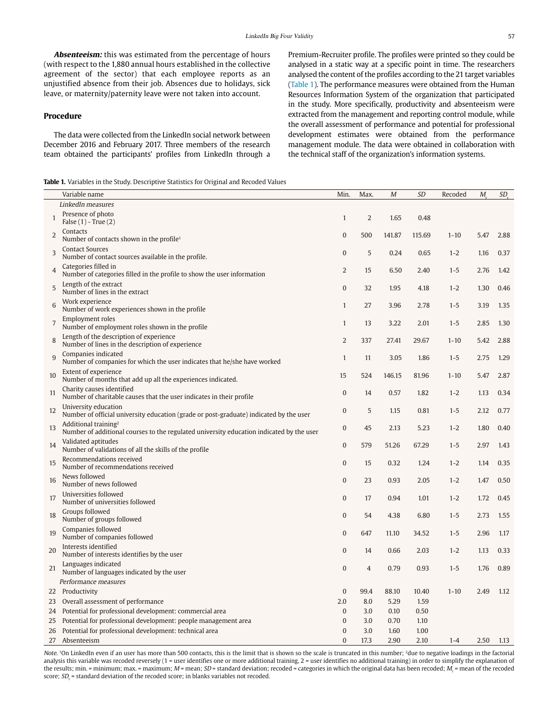**Absenteeism:** this was estimated from the percentage of hours (with respect to the 1,880 annual hours established in the collective agreement of the sector) that each employee reports as an unjustified absence from their job. Absences due to holidays, sick leave, or maternity/paternity leave were not taken into account.

# **Procedure**

The data were collected from the LinkedIn social network between December 2016 and February 2017. Three members of the research team obtained the participants' profiles from LinkedIn through a

<span id="page-4-0"></span>

|  |  |  |  |  |  |  | <b>Table 1.</b> Variables in the Study. Descriptive Statistics for Original and Recoded Values |  |
|--|--|--|--|--|--|--|------------------------------------------------------------------------------------------------|--|
|--|--|--|--|--|--|--|------------------------------------------------------------------------------------------------|--|

Premium-Recruiter profile. The profiles were printed so they could be analysed in a static way at a specific point in time. The researchers analysed the content of the profiles according to the 21 target variables [\(Table 1\)](#page-4-0). The performance measures were obtained from the Human Resources Information System of the organization that participated in the study. More specifically, productivity and absenteeism were extracted from the management and reporting control module, while the overall assessment of performance and potential for professional development estimates were obtained from the performance management module. The data were obtained in collaboration with the technical staff of the organization's information systems.

|                | Variable name                                                                                                                | Min.             | Max.           | M      | <b>SD</b> | Recoded  | M.   | SD <sub>r</sub> |
|----------------|------------------------------------------------------------------------------------------------------------------------------|------------------|----------------|--------|-----------|----------|------|-----------------|
|                | LinkedIn measures                                                                                                            |                  |                |        |           |          |      |                 |
| $\mathbf{1}$   | Presence of photo<br>False $(1)$ - True $(2)$                                                                                | $\mathbf{1}$     | $\overline{2}$ | 1.65   | 0.48      |          |      |                 |
| 2              | Contacts<br>Number of contacts shown in the profile <sup>1</sup>                                                             | $\overline{0}$   | 500            | 141.87 | 115.69    | $1 - 10$ | 5.47 | 2.88            |
| 3              | <b>Contact Sources</b><br>Number of contact sources available in the profile.                                                | $\bf{0}$         | 5              | 0.24   | 0.65      | $1 - 2$  | 1.16 | 0.37            |
| $\overline{4}$ | Categories filled in<br>Number of categories filled in the profile to show the user information                              | $\overline{2}$   | 15             | 6.50   | 2.40      | $1 - 5$  | 2.76 | 1.42            |
| 5              | Length of the extract<br>Number of lines in the extract                                                                      | $\overline{0}$   | 32             | 1.95   | 4.18      | $1 - 2$  | 1.30 | 0.46            |
| 6              | Work experience<br>Number of work experiences shown in the profile                                                           | $\mathbf{1}$     | 27             | 3.96   | 2.78      | $1 - 5$  | 3.19 | 1.35            |
| $\overline{7}$ | <b>Employment roles</b><br>Number of employment roles shown in the profile                                                   | $\mathbf{1}$     | 13             | 3.22   | 2.01      | $1 - 5$  | 2.85 | 1.30            |
| 8              | Length of the description of experience<br>Number of lines in the description of experience                                  | $\overline{2}$   | 337            | 27.41  | 29.67     | $1 - 10$ | 5.42 | 2.88            |
| 9              | Companies indicated<br>Number of companies for which the user indicates that he/she have worked                              | $\mathbf{1}$     | 11             | 3.05   | 1.86      | $1 - 5$  | 2.75 | 1.29            |
| 10             | Extent of experience<br>Number of months that add up all the experiences indicated.                                          | 15               | 524            | 146.15 | 81.96     | $1 - 10$ | 5.47 | 2.87            |
| 11             | Charity causes identified<br>Number of charitable causes that the user indicates in their profile                            | $\overline{0}$   | 14             | 0.57   | 1.82      | $1 - 2$  | 1.13 | 0.34            |
| 12             | University education<br>Number of official university education (grade or post-graduate) indicated by the user               | $\boldsymbol{0}$ | 5              | 1.15   | 0.81      | $1 - 5$  | 2.12 | 0.77            |
| 13             | Additional training <sup>2</sup><br>Number of additional courses to the regulated university education indicated by the user | $\overline{0}$   | 45             | 2.13   | 5.23      | $1 - 2$  | 1.80 | 0.40            |
| 14             | Validated aptitudes<br>Number of validations of all the skills of the profile                                                | 0                | 579            | 51.26  | 67.29     | $1 - 5$  | 2.97 | 1.43            |
| 15             | Recommendations received<br>Number of recommendations received                                                               | $\mathbf{0}$     | 15             | 0.32   | 1.24      | $1 - 2$  | 1.14 | 0.35            |
| 16             | News followed<br>Number of news followed                                                                                     | $\overline{0}$   | 23             | 0.93   | 2.05      | $1 - 2$  | 1.47 | 0.50            |
| 17             | Universities followed<br>Number of universities followed                                                                     | $\overline{0}$   | 17             | 0.94   | 1.01      | $1 - 2$  | 1.72 | 0.45            |
| 18             | Groups followed<br>Number of groups followed                                                                                 | $\overline{0}$   | 54             | 4.38   | 6.80      | $1 - 5$  | 2.73 | 1.55            |
| 19             | Companies followed<br>Number of companies followed                                                                           | $\overline{0}$   | 647            | 11.10  | 34.52     | $1 - 5$  | 2.96 | 1.17            |
| 20             | Interests identified<br>Number of interests identifies by the user                                                           | $\overline{0}$   | 14             | 0.66   | 2.03      | $1 - 2$  | 1.13 | 0.33            |
| 21             | Languages indicated<br>Number of languages indicated by the user                                                             | $\overline{0}$   | $\overline{4}$ | 0.79   | 0.93      | $1 - 5$  | 1.76 | 0.89            |
|                | Performance measures                                                                                                         |                  |                |        |           |          |      |                 |
|                | 22 Productivity                                                                                                              | $\boldsymbol{0}$ | 99.4           | 88.10  | 10.40     | $1 - 10$ | 2.49 | 1.12            |
| 23             | Overall assessment of performance                                                                                            | 2.0              | 8.0            | 5.29   | 1.59      |          |      |                 |
|                | 24 Potential for professional development: commercial area                                                                   | 0                | 3.0            | 0.10   | 0.50      |          |      |                 |
| 25             | Potential for professional development: people management area                                                               | $\overline{0}$   | 3.0            | 0.70   | 1.10      |          |      |                 |
|                | 26 Potential for professional development: technical area                                                                    | $\overline{0}$   | 3.0            | 1.60   | 1.00      |          |      |                 |
| 27             | Absenteeism                                                                                                                  | $\Omega$         | 17.3           | 2.90   | 2.10      | $1 - 4$  | 2.50 | 1.13            |

Note. <sup>1</sup>On LinkedIn even if an user has more than 500 contacts, this is the limit that is shown so the scale is truncated in this number; <sup>2</sup>due to negative loadings in the factorial analysis this variable was recoded reversely (1 = user identifies one or more additional training, 2 = user identifies no additional training) in order to simplify the explanation of the results; min. = minimum; max. = maximum; M = mean; SD = standard deviation; recoded = categories in which the original data has been recoded; M<sub>r</sub> = mean of the recoded score; SD<sub>r</sub> = standard deviation of the recoded score; in blanks variables not recoded.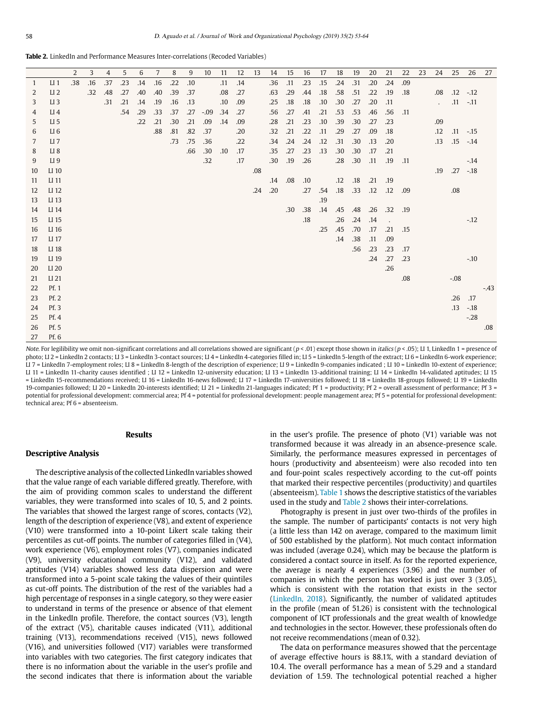<span id="page-5-0"></span>**Table 2.** LinkedIn and Performance Measures Inter-correlations (Recoded Variables)

|    |                 | $\overline{2}$ | 3   | 4   | 5   | 6   | 7   | 8   | 9   | 10     | 11  | 12  | 13  | 14  | 15  | 16  | 17  | 18  | 19  | 20  | 21                   | 22  | 23 | 24                         | 25          | 26     | 27     |
|----|-----------------|----------------|-----|-----|-----|-----|-----|-----|-----|--------|-----|-----|-----|-----|-----|-----|-----|-----|-----|-----|----------------------|-----|----|----------------------------|-------------|--------|--------|
| 1  | $LI$ 1          | .38            | .16 | .37 | .23 | .14 | .16 | .22 | .10 |        | .11 | .14 |     | .36 | .11 | .23 | .15 | .24 | .31 | .20 | .24                  | .09 |    |                            |             |        |        |
| 2  | LI <sub>2</sub> |                | .32 | .48 | .27 | .40 | .40 | .39 | .37 |        | .08 | .27 |     | .63 | .29 | .44 | .18 | .58 | .51 | .22 | .19                  | .18 |    | .08                        | $.12 - .12$ |        |        |
| 3  | LI <sub>3</sub> |                |     | .31 | .21 | .14 | .19 | .16 | .13 |        | .10 | .09 |     | .25 | .18 | .18 | .10 | .30 | .27 | .20 | .11                  |     |    | $\mathcal{L}^{\text{max}}$ | $.11 - .11$ |        |        |
| 4  | $LI$ 4          |                |     |     | .54 | .29 | .33 | .37 | .27 | $-.09$ | .34 | .27 |     | .56 | .27 | .41 | .21 | .53 | .53 | .46 | .56                  | .11 |    |                            |             |        |        |
| 5  | LI <sub>5</sub> |                |     |     |     | .22 | .21 | .30 | .21 | .09    | .14 | .09 |     | .28 | .21 | .23 | .10 | .39 | .30 | .27 | .23                  |     |    | .09                        |             |        |        |
| 6  | LI <sub>6</sub> |                |     |     |     |     | .88 | .81 | .82 | .37    |     | .20 |     | .32 | .21 | .22 | .11 | .29 | .27 | .09 | .18                  |     |    | $.12\,$                    | $.11 - .15$ |        |        |
| 7  | $LI$ 7          |                |     |     |     |     |     | .73 | .75 | .36    |     | .22 |     | .34 | .24 | .24 | .12 | .31 | .30 | .13 | .20                  |     |    | .13                        | $.15 - .14$ |        |        |
| 8  | LI <sub>8</sub> |                |     |     |     |     |     |     | .66 | .30    | .10 | .17 |     | .35 | .27 | .23 | .13 | .30 | .30 | .17 | .21                  |     |    |                            |             |        |        |
| 9  | LI 9            |                |     |     |     |     |     |     |     | .32    |     | .17 |     | .30 | .19 | .26 |     | .28 | .30 | .11 | .19                  | .11 |    |                            |             | $-.14$ |        |
| 10 | LI 10           |                |     |     |     |     |     |     |     |        |     |     | .08 |     |     |     |     |     |     |     |                      |     |    | .19                        | $.27 - .18$ |        |        |
| 11 | LI 11           |                |     |     |     |     |     |     |     |        |     |     |     | .14 | .08 | .10 |     | .12 | .18 | .21 | .19                  |     |    |                            |             |        |        |
| 12 | LI 12           |                |     |     |     |     |     |     |     |        |     |     | .24 | .20 |     | .27 | .54 | .18 | .33 | .12 | .12                  | .09 |    |                            | .08         |        |        |
| 13 | LI 13           |                |     |     |     |     |     |     |     |        |     |     |     |     |     |     | .19 |     |     |     |                      |     |    |                            |             |        |        |
| 14 | LI 14           |                |     |     |     |     |     |     |     |        |     |     |     |     | .30 | .38 | .14 | .45 | .48 | .26 | .32                  | .19 |    |                            |             |        |        |
| 15 | LI 15           |                |     |     |     |     |     |     |     |        |     |     |     |     |     | .18 |     | .26 | .24 | .14 | $\ddot{\phantom{a}}$ |     |    |                            |             | $-12$  |        |
| 16 | LI 16           |                |     |     |     |     |     |     |     |        |     |     |     |     |     |     | .25 | .45 | .70 | .17 | .21                  | .15 |    |                            |             |        |        |
| 17 | LI 17           |                |     |     |     |     |     |     |     |        |     |     |     |     |     |     |     | .14 | .38 | .11 | .09                  |     |    |                            |             |        |        |
| 18 | LI 18           |                |     |     |     |     |     |     |     |        |     |     |     |     |     |     |     |     | .56 | .23 | .23                  | .17 |    |                            |             |        |        |
| 19 | LI 19           |                |     |     |     |     |     |     |     |        |     |     |     |     |     |     |     |     |     | .24 | .27                  | .23 |    |                            |             | $-.10$ |        |
| 20 | LI 20           |                |     |     |     |     |     |     |     |        |     |     |     |     |     |     |     |     |     |     | .26                  |     |    |                            |             |        |        |
| 21 | LI 21           |                |     |     |     |     |     |     |     |        |     |     |     |     |     |     |     |     |     |     |                      | .08 |    |                            | $-.08$      |        |        |
| 22 | Pf. 1           |                |     |     |     |     |     |     |     |        |     |     |     |     |     |     |     |     |     |     |                      |     |    |                            |             |        | $-.43$ |
| 23 | Pf.2            |                |     |     |     |     |     |     |     |        |     |     |     |     |     |     |     |     |     |     |                      |     |    |                            | $.26$ .17   |        |        |
| 24 | Pf. 3           |                |     |     |     |     |     |     |     |        |     |     |     |     |     |     |     |     |     |     |                      |     |    |                            | .13         | $-.18$ |        |
| 25 | Pf. 4           |                |     |     |     |     |     |     |     |        |     |     |     |     |     |     |     |     |     |     |                      |     |    |                            |             | $-28$  |        |
| 26 | Pf. 5           |                |     |     |     |     |     |     |     |        |     |     |     |     |     |     |     |     |     |     |                      |     |    |                            |             |        | .08    |
| 27 | Pf. 6           |                |     |     |     |     |     |     |     |        |     |     |     |     |     |     |     |     |     |     |                      |     |    |                            |             |        |        |

Note. For legilibility we omit non-significant correlations and all correlations showed are significant ( $p < .01$ ) except those shown in *italics* ( $p < .05$ ); LI 1, LinkedIn 1 = presence of photo; LI 2 = LinkedIn 2 contacts; LI 3 = LinkedIn 3-contact sources; LI 4 = LinkedIn 4-categories filled in; LI 5 = LinkedIn 5-length of the extract; LI 6 = LinkedIn 6-work experience; LI 7 = LinkedIn 7-employment roles; LI 8 = LinkedIn 8-length of the description of experience; LI 9 = LinkedIn 9-companies indicated ; LI 10 = LinkedIn 10-extent of experience; LI 11 = LinkedIn 11-charity causes identified ; LI 12 = LinkedIn 12-university education; LI 13 = LinkedIn 13-additional training; LI 14 = LinkedIn 14-validated aptitudes; LI 15 = LinkedIn 15-recommendations received; LI 16 = LinkedIn 16-news followed; LI 17 = LinkedIn 17-universities followed; LI 18 = LinkedIn 18-groups followed; LI 19 = LinkedIn 19-companies followed; LI 20 = LinkedIn 20-interests identified; LI 21 = LinkedIn 21-languages indicated; Pf 1 = productivity; Pf 2 = overall assessment of performance; Pf 3 = potential for professional development: commercial area; Pf 4 = potential for professional development: people management area; Pf 5 = potential for professional development: technical area; Pf 6 = absenteeism.

#### **Results**

#### **Descriptive Analysis**

The descriptive analysis of the collected LinkedIn variables showed that the value range of each variable differed greatly. Therefore, with the aim of providing common scales to understand the different variables, they were transformed into scales of 10, 5, and 2 points. The variables that showed the largest range of scores, contacts (V2), length of the description of experience (V8), and extent of experience (V10) were transformed into a 10-point Likert scale taking their percentiles as cut-off points. The number of categories filled in (V4), work experience (V6), employment roles (V7), companies indicated (V9), university educational community (V12), and validated aptitudes (V14) variables showed less data dispersion and were transformed into a 5-point scale taking the values of their quintiles as cut-off points. The distribution of the rest of the variables had a high percentage of responses in a single category, so they were easier to understand in terms of the presence or absence of that element in the LinkedIn profile. Therefore, the contact sources (V3), length of the extract (V5), charitable causes indicated (V11), additional training (V13), recommendations received (V15), news followed (V16), and universities followed (V17) variables were transformed into variables with two categories. The first category indicates that there is no information about the variable in the user's profile and the second indicates that there is information about the variable

in the user's profile. The presence of photo (V1) variable was not transformed because it was already in an absence-presence scale. Similarly, the performance measures expressed in percentages of hours (productivity and absenteeism) were also recoded into ten and four-point scales respectively according to the cut-off points that marked their respective percentiles (productivity) and quartiles (absenteeism). [Table 1](#page-4-0) shows the descriptive statistics of the variables used in the study and [Table 2](#page-5-0) shows their inter-correlations.

Photography is present in just over two-thirds of the profiles in the sample. The number of participants' contacts is not very high (a little less than 142 on average, compared to the maximum limit of 500 established by the platform). Not much contact information was included (average 0.24), which may be because the platform is considered a contact source in itself. As for the reported experience, the average is nearly 4 experiences (3.96) and the number of companies in which the person has worked is just over 3 (3.05), which is consistent with the rotation that exists in the sector (LinkedIn, 2018). Significantly, the number of validated aptitudes in the profile (mean of 51.26) is consistent with the technological component of ICT professionals and the great wealth of knowledge and technologies in the sector. However, these professionals often do not receive recommendations (mean of 0.32).

The data on performance measures showed that the percentage of average effective hours is 88.1%, with a standard deviation of 10.4. The overall performance has a mean of 5.29 and a standard deviation of 1.59. The technological potential reached a higher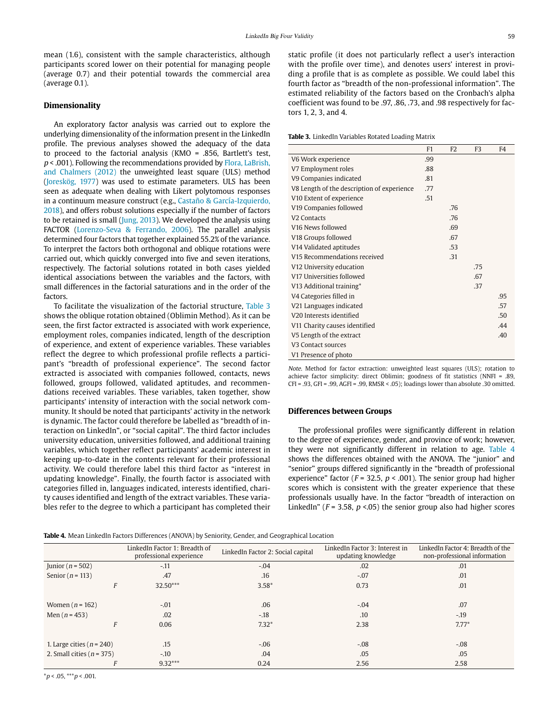mean (1.6), consistent with the sample characteristics, although participants scored lower on their potential for managing people (average 0.7) and their potential towards the commercial area (average 0.1).

#### **Dimensionality**

An exploratory factor analysis was carried out to explore the underlying dimensionality of the information present in the LinkedIn profile. The previous analyses showed the adequacy of the data to proceed to the factorial analysis (KMO = .856, Bartlett's test,  $p$  < .001). Following the recommendations provided by Flora, LaBrish, [and Chalmers \(2012\)](#page-10-34) the unweighted least square (ULS) method [\(Joreskög, 1977](#page-10-35)) was used to estimate parameters. ULS has been seen as adequate when dealing with Likert polytomous responses in a continuum measure construct (e.g., [Castaño & García-Izquierdo,](#page-10-36)  [2018\)](#page-10-36), and offers robust solutions especially if the number of factors to be retained is small ([Jung, 2013\)](#page-10-37). We developed the analysis using FACTOR ([Lorenzo-Seva & Ferrando, 2006\)](#page-10-38). The parallel analysis determined four factors that together explained 55.2% of the variance. To interpret the factors both orthogonal and oblique rotations were carried out, which quickly converged into five and seven iterations, respectively. The factorial solutions rotated in both cases yielded identical associations between the variables and the factors, with small differences in the factorial saturations and in the order of the factors.

To facilitate the visualization of the factorial structure, [Table 3](#page-6-0) shows the oblique rotation obtained (Oblimin Method). As it can be seen, the first factor extracted is associated with work experience, employment roles, companies indicated, length of the description of experience, and extent of experience variables. These variables reflect the degree to which professional profile reflects a participant's "breadth of professional experience". The second factor extracted is associated with companies followed, contacts, news followed, groups followed, validated aptitudes, and recommendations received variables. These variables, taken together, show participants' intensity of interaction with the social network community. It should be noted that participants' activity in the network is dynamic. The factor could therefore be labelled as "breadth of interaction on LinkedIn", or "social capital". The third factor includes university education, universities followed, and additional training variables, which together reflect participants' academic interest in keeping up-to-date in the contents relevant for their professional activity. We could therefore label this third factor as "interest in updating knowledge". Finally, the fourth factor is associated with categories filled in, languages indicated, interests identified, charity causes identified and length of the extract variables. These variables refer to the degree to which a participant has completed their

static profile (it does not particularly reflect a user's interaction with the profile over time), and denotes users' interest in providing a profile that is as complete as possible. We could label this fourth factor as "breadth of the non-professional information". The estimated reliability of the factors based on the Cronbach's alpha coefficient was found to be .97, .86, .73, and .98 respectively for factors 1, 2, 3, and 4.

<span id="page-6-0"></span>**Table 3.** LinkedIn Variables Rotated Loading Matrix

|                                            | F1  | F <sub>2</sub> | F <sub>3</sub> | F <sub>4</sub> |
|--------------------------------------------|-----|----------------|----------------|----------------|
| V6 Work experience                         | .99 |                |                |                |
| V7 Employment roles                        | .88 |                |                |                |
| V9 Companies indicated                     | .81 |                |                |                |
| V8 Length of the description of experience | .77 |                |                |                |
| V <sub>10</sub> Extent of experience       | .51 |                |                |                |
| V <sub>19</sub> Companies followed         |     | .76            |                |                |
| V <sub>2</sub> Contacts                    |     | .76            |                |                |
| V16 News followed                          |     | .69            |                |                |
| V18 Groups followed                        |     | .67            |                |                |
| V14 Validated aptitudes                    |     | .53            |                |                |
| V15 Recommendations received               |     | .31            |                |                |
| V12 University education                   |     |                | .75            |                |
| V17 Universities followed                  |     |                | .67            |                |
| V13 Additional training*                   |     |                | .37            |                |
| V4 Categories filled in                    |     |                |                | .95            |
| V21 Languages indicated                    |     |                |                | .57            |
| V20 Interests identified                   |     |                |                | .50            |
| V11 Charity causes identified              |     |                |                | .44            |
| V5 Length of the extract                   |     |                |                | .40            |
| V <sub>3</sub> Contact sources             |     |                |                |                |
| V1 Presence of photo                       |     |                |                |                |

Note. Method for factor extraction: unweighted least squares (ULS); rotation to achieve factor simplicity: direct Oblimin; goodness of fit statistics (NNFI = .89, CFI = .93, GFI = .99, AGFI = .99, RMSR < .05); loadings lower than absolute .30 omitted.

# **Differences between Groups**

The professional profiles were significantly different in relation to the degree of experience, gender, and province of work; however, they were not significantly different in relation to age. [Table 4](#page-6-1) shows the differences obtained with the ANOVA. The "junior" and "senior" groups differed significantly in the "breadth of professional experience" factor ( $F = 32.5$ ,  $p < .001$ ). The senior group had higher scores which is consistent with the greater experience that these professionals usually have. In the factor "breadth of interaction on LinkedIn" ( $F = 3.58$ ,  $p < 0.05$ ) the senior group also had higher scores

<span id="page-6-1"></span>**Table 4.** Mean LinkedIn Factors Differences (ANOVA) by Seniority, Gender, and Geographical Location

|                               | LinkedIn Factor 1: Breadth of<br>professional experience | LinkedIn Factor 2: Social capital | LinkedIn Factor 3: Interest in<br>updating knowledge | LinkedIn Factor 4: Breadth of the<br>non-professional information |  |
|-------------------------------|----------------------------------------------------------|-----------------------------------|------------------------------------------------------|-------------------------------------------------------------------|--|
| Junior ( $n = 502$ )          | $-.11$                                                   | $-.04$                            | .02                                                  | .01                                                               |  |
| Senior ( $n = 113$ )          | .47                                                      | .16                               | $-.07$                                               | .01                                                               |  |
| F                             | $32.50***$                                               | $3.58*$                           | 0.73                                                 | .01                                                               |  |
|                               |                                                          |                                   |                                                      |                                                                   |  |
| Women $(n = 162)$             | $-.01$                                                   | .06                               | $-.04$                                               | .07                                                               |  |
| Men $(n = 453)$               | .02                                                      | $-.18$                            | .10                                                  | $-19$                                                             |  |
|                               | 0.06                                                     | $7.32*$                           | 2.38                                                 | $7.77*$                                                           |  |
|                               |                                                          |                                   |                                                      |                                                                   |  |
| 1. Large cities ( $n = 240$ ) | .15                                                      | $-.06$                            | $-.08$                                               | $-.08$                                                            |  |
| 2. Small cities ( $n = 375$ ) | $-.10$                                                   | .04                               | .05                                                  | .05                                                               |  |
|                               | $9.32***$                                                | 0.24                              | 2.56                                                 | 2.58                                                              |  |

 $*_{p}$  < .05,  $**_{p}$  < .001.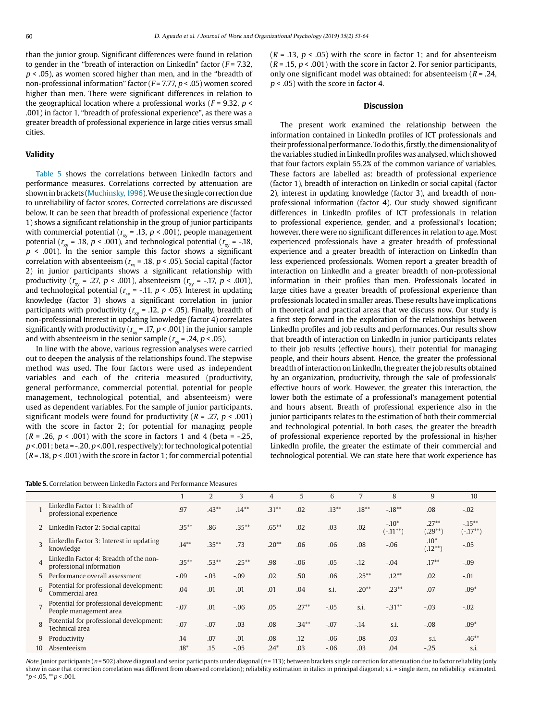than the junior group. Significant differences were found in relation to gender in the "breath of interaction on LinkedIn" factor ( $F = 7.32$ ).  $p < .05$ ), as women scored higher than men, and in the "breadth of non-professional information" factor ( $F = 7.77$ ,  $p < .05$ ) women scored higher than men. There were significant differences in relation to the geographical location where a professional works ( $F = 9.32$ ,  $p \le$ .001) in factor 1, "breadth of professional experience", as there was a greater breadth of professional experience in large cities versus small cities.

#### **Validity**

[Table 5](#page-7-0) shows the correlations between LinkedIn factors and performance measures. Correlations corrected by attenuation are shown in brackets ([Muchinsky, 1996](#page-10-39)). We use the single correction due to unreliability of factor scores. Corrected correlations are discussed below. It can be seen that breadth of professional experience (factor 1) shows a significant relationship in the group of junior participants with commercial potential ( $r_{\text{xy}}$  = .13,  $p$  < .001), people management potential ( $r_{\text{av}}$  = .18,  $p < .001$ ), and technological potential ( $r_{\text{av}}$  = -.18,  $p \lt 0.001$ ). In the senior sample this factor shows a significant correlation with absenteeism ( $r_{\rm xy}$  = .18,  $p$  < .05). Social capital (factor 2) in junior participants shows a significant relationship with productivity ( $r_{\rm xy}$  = .27,  $p$  < .001), absenteeism ( $r_{\rm xy}$  = -.17,  $p$  < .001), and technological potential ( $r_{xy}$  = -.11,  $p$  < .05). Interest in updating knowledge (factor 3) shows a significant correlation in junior participants with productivity ( $r_{\text{xy}}$  = .12,  $p$  < .05). Finally, breadth of non-professional Interest in updating knowledge (factor 4) correlates significantly with productivity ( $r_{\text{av}}$  = .17,  $p$  < .001) in the junior sample and with absenteeism in the senior sample ( $r_{\rm w}$  = .24,  $p$  < .05).

In line with the above, various regression analyses were carried out to deepen the analysis of the relationships found. The stepwise method was used. The four factors were used as independent variables and each of the criteria measured (productivity, general performance, commercial potential, potential for people management, technological potential, and absenteeism) were used as dependent variables. For the sample of junior participants, significant models were found for productivity ( $R = .27$ ,  $p < .001$ ) with the score in factor 2; for potential for managing people  $(R = .26, p < .001)$  with the score in factors 1 and 4 (beta = -.25,  $p$  < .001; beta = -.20,  $p$  <.001, respectively); for technological potential  $(R = .18, p < .001)$  with the score in factor 1; for commercial potential

<span id="page-7-0"></span>

| <b>Table 5.</b> Correlation between LinkedIn Factors and Performance Measures |  |  |
|-------------------------------------------------------------------------------|--|--|
|-------------------------------------------------------------------------------|--|--|

 $(R = .13, p < .05)$  with the score in factor 1; and for absenteeism  $(R = .15, p < .001)$  with the score in factor 2. For senior participants, only one significant model was obtained: for absenteeism ( $R = .24$ ,  $p < .05$ ) with the score in factor 4.

## **Discussion**

The present work examined the relationship between the information contained in LinkedIn profiles of ICT professionals and their professional performance. To do this, firstly, the dimensionality of the variables studied in LinkedIn profiles was analysed, which showed that four factors explain 55.2% of the common variance of variables. These factors are labelled as: breadth of professional experience (factor 1), breadth of interaction on LinkedIn or social capital (factor 2), interest in updating knowledge (factor 3), and breadth of nonprofessional information (factor 4). Our study showed significant differences in LinkedIn profiles of ICT professionals in relation to professional experience, gender, and a professional's location; however, there were no significant differences in relation to age. Most experienced professionals have a greater breadth of professional experience and a greater breadth of interaction on LinkedIn than less experienced professionals. Women report a greater breadth of interaction on LinkedIn and a greater breadth of non-professional information in their profiles than men. Professionals located in large cities have a greater breadth of professional experience than professionals located in smaller areas. These results have implications in theoretical and practical areas that we discuss now. Our study is a first step forward in the exploration of the relationships between LinkedIn profiles and job results and performances. Our results show that breadth of interaction on LinkedIn in junior participants relates to their job results (effective hours), their potential for managing people, and their hours absent. Hence, the greater the professional breadth of interaction on LinkedIn, the greater the job results obtained by an organization, productivity, through the sale of professionals' effective hours of work. However, the greater this interaction, the lower both the estimate of a professional's management potential and hours absent. Breath of professional experience also in the junior participants relates to the estimation of both their commercial and technological potential. In both cases, the greater the breadth of professional experience reported by the professional in his/her LinkedIn profile, the greater the estimate of their commercial and technological potential. We can state here that work experience has

|                         |                                                                    |          | 2        | 3        | 4        | 5       | 6        | 7        | 8                        | 9                      | 10                      |
|-------------------------|--------------------------------------------------------------------|----------|----------|----------|----------|---------|----------|----------|--------------------------|------------------------|-------------------------|
|                         | LinkedIn Factor 1: Breadth of<br>professional experience           | .97      | $.43**$  | $.14***$ | $.31***$ | .02     | $.13***$ | $.18***$ | $-.18***$                | .08                    | $-.02$                  |
| 2                       | LinkedIn Factor 2: Social capital                                  | $.35***$ | .86      | $.35***$ | $.65***$ | .02     | .03      | .02      | $-.10*$<br>$(-.11^{**})$ | $.27**$<br>$1.29**$    | $-.15***$<br>$(-.17**)$ |
| $\overline{\mathbf{z}}$ | LinkedIn Factor 3: Interest in updating<br>knowledge               | $.14***$ | $.35***$ | .73      | $.20**$  | .06     | .06      | .08      | $-.06$                   | $.10*$<br>$(.12^{**})$ | $-.05$                  |
| $\Delta$                | LinkedIn Factor 4: Breadth of the non-<br>professional information | $.35***$ | $.53***$ | $.25***$ | .98      | $-.06$  | .05      | $-12$    | $-.04$                   | $.17***$               | $-.09$                  |
| 5                       | Performance overall assessment                                     | $-.09$   | $-.03$   | $-.09$   | .02      | .50     | .06      | $.25***$ | $.12***$                 | .02                    | $-.01$                  |
| 6                       | Potential for professional development:<br>Commercial area         | .04      | .01      | $-.01$   | $-.01$   | .04     | S.i.     | $.20**$  | $-.23**$                 | .07                    | $-.09*$                 |
|                         | Potential for professional development:<br>People management area  | $-.07$   | .01      | $-.06$   | .05      | $.27**$ | $-.05$   | S.i.     | $-.31***$                | $-.03$                 | $-.02$                  |
| $\mathbf{8}$            | Potential for professional development:<br>Technical area          | $-.07$   | $-.07$   | .03      | .08      | $.34**$ | $-.07$   | $-14$    | S.i.                     | $-.08$                 | $.09*$                  |
| 9                       | Productivity                                                       | .14      | .07      | $-.01$   | $-.08$   | .12     | $-.06$   | .08      | .03                      | S.i.                   | $-.46**$                |
| 10                      | Absenteeism                                                        | $.18*$   | .15      | $-.05$   | $.24*$   | .03     | $-.06$   | .03      | .04                      | $-.25$                 | S.i.                    |

Note. Junior participants ( $n = 502$ ) above diagonal and senior participants under diagonal ( $n = 113$ ); between brackets single correction for attenuation due to factor reliability (only show in case that correction correlation was different from observed correlation); reliability estimation in italics in principal diagonal; s.i. = single item, no reliability estimated.  $*_{p}$  < .05,  $*_{p}$  < .001.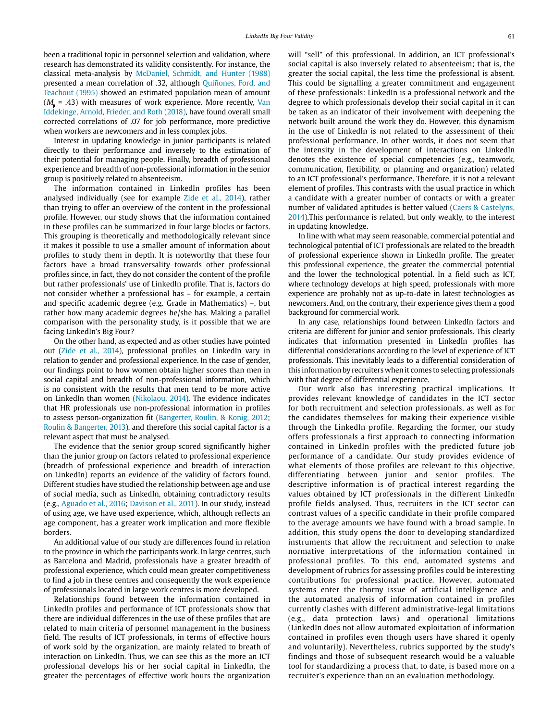been a traditional topic in personnel selection and validation, where research has demonstrated its validity consistently. For instance, the classical meta-analysis by [McDaniel, Schmidt, and Hunter \(1988\)](#page-10-8) presented a mean correlation of .32, although [Quiñones, Ford, and](#page-11-26)  [Teachout \(1995\)](#page-11-26) showed an estimated population mean of amount  $(M_{\text{\tiny A}} = .43)$  with measures of work experience. More recently, Van [Iddekinge, Arnold, Frieder, and Roth \(2018\)](#page-11-11), have found overall small corrected correlations of .07 for job performance, more predictive when workers are newcomers and in less complex jobs.

Interest in updating knowledge in junior participants is related directly to their performance and inversely to the estimation of their potential for managing people. Finally, breadth of professional experience and breadth of non-professional information in the senior group is positively related to absenteeism.

The information contained in LinkedIn profiles has been analysed individually (see for example [Zide et al., 2014\)](#page-11-0), rather than trying to offer an overview of the content in the professional profile. However, our study shows that the information contained in these profiles can be summarized in four large blocks or factors. This grouping is theoretically and methodologically relevant since it makes it possible to use a smaller amount of information about profiles to study them in depth. It is noteworthy that these four factors have a broad transversality towards other professional profiles since, in fact, they do not consider the content of the profile but rather professionals' use of LinkedIn profile. That is, factors do not consider whether a professional has – for example, a certain and specific academic degree (e.g. Grade in Mathematics) –, but rather how many academic degrees he/she has. Making a parallel comparison with the personality study, is it possible that we are facing LinkedIn's Big Four?

On the other hand, as expected and as other studies have pointed out ([Zide et al., 2014](#page-11-0)), professional profiles on LinkedIn vary in relation to gender and professional experience. In the case of gender, our findings point to how women obtain higher scores than men in social capital and breadth of non-professional information, which is no consistent with the results that men tend to be more active on LinkedIn than women [\(Nikolaou, 2014\)](#page-10-0). The evidence indicates that HR professionals use non-professional information in profiles to assess person-organization fit ([Bangerter, Roulin, & Konig, 2012;](#page-9-13) [Roulin & Bangerter, 2013](#page-11-14)), and therefore this social capital factor is a relevant aspect that must be analysed.

The evidence that the senior group scored significantly higher than the junior group on factors related to professional experience (breadth of professional experience and breadth of interaction on LinkedIn) reports an evidence of the validity of factors found. Different studies have studied the relationship between age and use of social media, such as LinkedIn, obtaining contradictory results (e.g., [Aguado et al., 2016](#page-9-0); [Davison et al., 2011\)](#page-10-15). In our study, instead of using age, we have used experience, which, although reflects an age component, has a greater work implication and more flexible borders.

An additional value of our study are differences found in relation to the province in which the participants work. In large centres, such as Barcelona and Madrid, professionals have a greater breadth of professional experience, which could mean greater competitiveness to find a job in these centres and consequently the work experience of professionals located in large work centres is more developed.

Relationships found between the information contained in LinkedIn profiles and performance of ICT professionals show that there are individual differences in the use of these profiles that are related to main criteria of personnel management in the business field. The results of ICT professionals, in terms of effective hours of work sold by the organization, are mainly related to breath of interaction on LinkedIn. Thus, we can see this as the more an ICT professional develops his or her social capital in LinkedIn, the greater the percentages of effective work hours the organization

will "sell" of this professional. In addition, an ICT professional's social capital is also inversely related to absenteeism; that is, the greater the social capital, the less time the professional is absent. This could be signalling a greater commitment and engagement of these professionals: LinkedIn is a professional network and the degree to which professionals develop their social capital in it can be taken as an indicator of their involvement with deepening the network built around the work they do. However, this dynamism in the use of LinkedIn is not related to the assessment of their professional performance. In other words, it does not seem that the intensity in the development of interactions on LinkedIn denotes the existence of special competencies (e.g., teamwork, communication, flexibility, or planning and organization) related to an ICT professional's performance. Therefore, it is not a relevant element of profiles. This contrasts with the usual practice in which a candidate with a greater number of contacts or with a greater number of validated aptitudes is better valued ([Caers & Castelyns,](#page-9-5)  [2014](#page-9-5)).This performance is related, but only weakly, to the interest in updating knowledge.

In line with what may seem reasonable, commercial potential and technological potential of ICT professionals are related to the breadth of professional experience shown in LinkedIn profile. The greater this professional experience, the greater the commercial potential and the lower the technological potential. In a field such as ICT, where technology develops at high speed, professionals with more experience are probably not as up-to-date in latest technologies as newcomers. And, on the contrary, their experience gives them a good background for commercial work.

In any case, relationships found between LinkedIn factors and criteria are different for junior and senior professionals. This clearly indicates that information presented in LinkedIn profiles has differential considerations according to the level of experience of ICT professionals. This inevitably leads to a differential consideration of this information by recruiters when it comes to selecting professionals with that degree of differential experience.

Our work also has interesting practical implications. It provides relevant knowledge of candidates in the ICT sector for both recruitment and selection professionals, as well as for the candidates themselves for making their experience visible through the LinkedIn profile. Regarding the former, our study offers professionals a first approach to connecting information contained in LinkedIn profiles with the predicted future job performance of a candidate. Our study provides evidence of what elements of those profiles are relevant to this objective, differentiating between junior and senior profiles. The descriptive information is of practical interest regarding the values obtained by ICT professionals in the different LinkedIn profile fields analysed. Thus, recruiters in the ICT sector can contrast values of a specific candidate in their profile compared to the average amounts we have found with a broad sample. In addition, this study opens the door to developing standardized instruments that allow the recruitment and selection to make normative interpretations of the information contained in professional profiles. To this end, automated systems and development of rubrics for assessing profiles could be interesting contributions for professional practice. However, automated systems enter the thorny issue of artificial intelligence and the automated analysis of information contained in profiles currently clashes with different administrative-legal limitations (e.g., data protection laws) and operational limitations (LinkedIn does not allow automated exploitation of information contained in profiles even though users have shared it openly and voluntarily). Nevertheless, rubrics supported by the study's findings and those of subsequent research would be a valuable tool for standardizing a process that, to date, is based more on a recruiter's experience than on an evaluation methodology.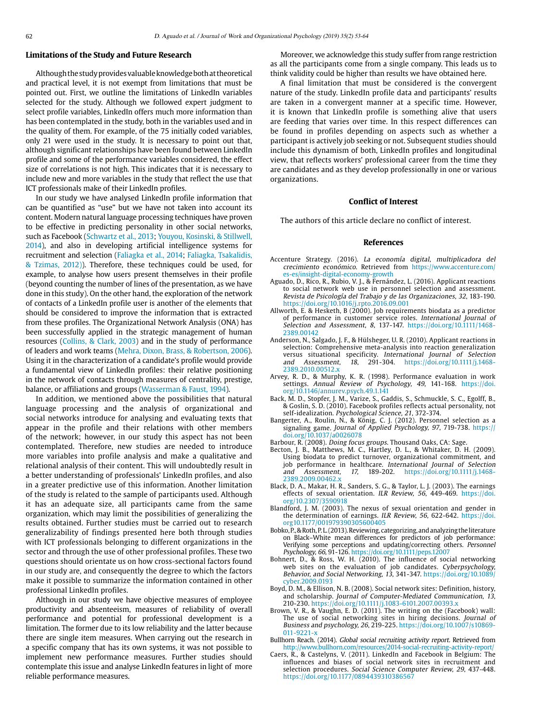# **Limitations of the Study and Future Research**

Although the study provides valuable knowledge both at theoretical and practical level, it is not exempt from limitations that must be pointed out. First, we outline the limitations of LinkedIn variables selected for the study. Although we followed expert judgment to select profile variables, LinkedIn offers much more information than has been contemplated in the study, both in the variables used and in the quality of them. For example, of the 75 initially coded variables, only 21 were used in the study. It is necessary to point out that, although significant relationships have been found between LinkedIn profile and some of the performance variables considered, the effect size of correlations is not high. This indicates that it is necessary to include new and more variables in the study that reflect the use that ICT professionals make of their LinkedIn profiles.

In our study we have analysed LinkedIn profile information that can be quantified as "use" but we have not taken into account its content. Modern natural language processing techniques have proven to be effective in predicting personality in other social networks, such as Facebook [\(Schwartz et al., 2013](#page-11-6); [Youyou, Kosinski, & Stillwell,](#page-11-27)  [2014\)](#page-11-27), and also in developing artificial intelligence systems for recruitment and selection [\(Faliagka et al., 2](#page-10-2)014; [Faliagka, Tsakalidis,](#page-10-2)  [& Tzimas, 2012](#page-10-2))). Therefore, these techniques could be used, for example, to analyse how users present themselves in their profile (beyond counting the number of lines of the presentation, as we have done in this study). On the other hand, the exploration of the network of contacts of a LinkedIn profile user is another of the elements that should be considered to improve the information that is extracted from these profiles. The Organizational Network Analysis (ONA) has been successfully applied in the strategic management of human resources [\(Collins, & Clark, 2003\)](#page-10-40) and in the study of performance of leaders and work teams ([Mehra, Dixon, Brass, & Robertson, 2006](#page-10-23)). Using it in the characterization of a candidate's profile would provide a fundamental view of LinkedIn profiles: their relative positioning in the network of contacts through measures of centrality, prestige, balance, or affiliations and groups ([Wasserman & Faust, 1994\)](#page-11-28).

In addition, we mentioned above the possibilities that natural language processing and the analysis of organizational and social networks introduce for analysing and evaluating texts that appear in the profile and their relations with other members of the network; however, in our study this aspect has not been contemplated. Therefore, new studies are needed to introduce more variables into profile analysis and make a qualitative and relational analysis of their content. This will undoubtedly result in a better understanding of professionals' LinkedIn profiles, and also in a greater predictive use of this information. Another limitation of the study is related to the sample of participants used. Although it has an adequate size, all participants came from the same organization, which may limit the possibilities of generalizing the results obtained. Further studies must be carried out to research generalizability of findings presented here both through studies with ICT professionals belonging to different organizations in the sector and through the use of other professional profiles. These two questions should orientate us on how cross-sectional factors found in our study are, and consequently the degree to which the factors make it possible to summarize the information contained in other professional LinkedIn profiles.

Although in our study we have objective measures of employee productivity and absenteeism, measures of reliability of overall performance and potential for professional development is a limitation. The former due to its low reliability and the latter because there are single item measures. When carrying out the research in a specific company that has its own systems, it was not possible to implement new performance measures. Further studies should contemplate this issue and analyse LinkedIn features in light of more reliable performance measures.

Moreover, we acknowledge this study suffer from range restriction as all the participants come from a single company. This leads us to think validity could be higher than results we have obtained here.

A final limitation that must be considered is the convergent nature of the study. LinkedIn profile data and participants' results are taken in a convergent manner at a specific time. However, it is known that LinkedIn profile is something alive that users are feeding that varies over time. In this respect differences can be found in profiles depending on aspects such as whether a participant is actively job seeking or not. Subsequent studies should include this dynamism of both, LinkedIn profiles and longitudinal view, that reflects workers' professional career from the time they are candidates and as they develop professionally in one or various organizations.

#### **Conflict of Interest**

The authors of this article declare no conflict of interest.

#### **References**

- <span id="page-9-2"></span>Accenture Strategy. (2016). La economía digital, multiplicadora del crecimiento económico. Retrieved from [https://www.accenture.com/](https://www.accenture.com/es-es/insight-digital-economy-growth) [es-es/insight-digital-economy-growth](https://www.accenture.com/es-es/insight-digital-economy-growth)
- <span id="page-9-0"></span>Aguado, D., Rico, R., Rubio, V. J., & Fernández, L. (2016). Applicant reactions to social network web use in personnel selection and assessment. Revista de Psicología del Trabajo y de las Organizaciones, 32, 183-190. <https://doi.org/10.1016/j.rpto.2016.09.001>
- <span id="page-9-9"></span>Allworth, E. & Hesketh, B (2000). Job requirements biodata as a predictor of performance in customer service roles. International Journal of Selection and Assessment, 8, 137-147. [https://doi.org/10.1111/1468-](https://doi.org/10.1111/1468-2389.00142) [2389.00142](https://doi.org/10.1111/1468-2389.00142)
- Anderson, N., Salgado, J. F., & Hülsheger, U. R. (2010). Applicant reactions in selection: Comprehensive meta-analysis into reaction generalization versus situational specificity. International Journal of Selection<br>and Assessment, 18, 291-304. https://doi.org/10.1111/j.1468and Assessment, 18, 291-304. [https://doi.org/10.1111/j.1468-](https://doi.org/10.1111/j.1468-2389.2010.00512.x) [2389.2010.00512.x](https://doi.org/10.1111/j.1468-2389.2010.00512.x)
- <span id="page-9-11"></span>Arvey, R. D., & Murphy, K. R. (1998). Performance evaluation in work settings. Annual Review of Psychology, 49, 141-168. [https://doi.](https://doi.org/10.1146/annurev.psych.49.1.141) [org/10.1146/annurev.psych.49.1.141](https://doi.org/10.1146/annurev.psych.49.1.141)
- <span id="page-9-4"></span>Back, M. D., Stopfer, J. M., Varize, S., Gaddis, S., Schmuckle, S. C., Egolff, B., & Goslin, S. D. (2010). Facebook profiles reflects actual personality, not self-idealization. Psychological Science, 21, 372-374.
- <span id="page-9-13"></span>Bangerter, A., Roulin, N., & König, C. J. (2012). Personnel selection as a signaling game. Journal of Applied Psychology, 97, 719-738. [https://](https://doi.org/10.1037/a0026078) [doi.org/10.1037/a0026078](https://doi.org/10.1037/a0026078)
- <span id="page-9-12"></span>Barbour, R. (2008). Doing focus groups. Thousand Oaks, CA: Sage.
- <span id="page-9-10"></span>Becton, J. B., Matthews, M. C., Hartley, D. L., & Whitaker, D. H. (2009). Using biodata to predict turnover, organizational commitment, and job performance in healthcare. International Journal of Selection<br>and Assessment, 17, 189-202. https://doi.org/10.1111/j.1468and Assessment, 17, 189-202. [https://doi.org/10.1111/j.1468-](https://doi.org/10.1111/j.1468-2389.2009.00462.x) [2389.2009.00462.x](https://doi.org/10.1111/j.1468-2389.2009.00462.x)
- <span id="page-9-6"></span>Black, D. A., Makar, H. R., Sanders, S. G., & Taylor, L. J. (2003). The earnings effects of sexual orientation. ILR Review, 56, 449-469. [https://doi.](https://doi.org/10.2307/3590918) [org/10.2307/3590918](https://doi.org/10.2307/3590918)
- Blandford, J. M. (2003). The nexus of sexual orientation and gender in the determination of earnings. ILR Review, 56, 622-642. [https://doi.](https://doi.org10.1177/001979390305600405) [org10.1177/001979390305600405](https://doi.org10.1177/001979390305600405)
- Bobko, P., & Roth, P. L. (2013). Reviewing, categorizing, and analyzing the literature on Black–White mean differences for predictors of job performance: Verifying some perceptions and updating/correcting others. Personnel Psychology, 66, 91-126. <https://doi.org/10.1111/peps.12007>
- <span id="page-9-8"></span>Bohnert, D., & Ross, W. H. (2010). The influence of social networking web sites on the evaluation of job candidates. Cyberpsychology, Behavior, and Social Networking, 13, 341-347. [https://doi.org/10.1089/](https://doi.org/10.1089/cyber.2009.0193) [cyber.2009.0193](https://doi.org/10.1089/cyber.2009.0193)
- <span id="page-9-7"></span>Boyd, D. M., & Ellison, N. B. (2008). Social network sites: Definition, history, and scholarship. Journal of Computer-Mediated Communication, 13, 210-230. <https://doi.org/10.1111/j.1083-6101.2007.00393.x>
- <span id="page-9-1"></span>Brown, V. R., & Vaughn, E. D. (2011). The writing on the (Facebook) wall: The use of social networking sites in hiring decisions. Journal of Business and psychology, 26, 219-225. [https://doi.org/10.1007/s10869-](https://doi.org/10.1007/s10869-011-9221-x) [011-9221-x](https://doi.org/10.1007/s10869-011-9221-x)
- <span id="page-9-3"></span>Bullhorn Reach. (2014). Global social recruiting activity report. Retrieved from <http://www.bullhorn.com/resources/2014-social-recruiting-activity-report/>
- <span id="page-9-5"></span>Caers, R., & Castelyns, V. (2011). LinkedIn and Facebook in Belgium: The influences and biases of social network sites in recruitment and selection procedures. Social Science Computer Review, 29, 437-448. <https://doi.org/10.1177/0894439310386567>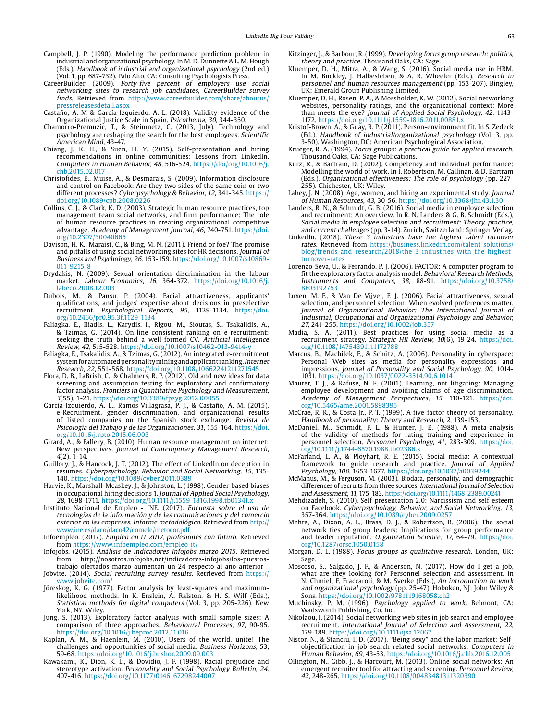- <span id="page-10-29"></span>Campbell, J. P. (1990). Modeling the performance prediction problem in industrial and organizational psychology. In M. D. Dunnette & L. M. Hough (Eds.), Handbook of industrial and organizational psychology (2nd ed.) (Vol. 1, pp. 687-732). Palo Alto, CA: Consulting Psychologists Press.
- <span id="page-10-7"></span>CareerBuilder. (2009). Forty-five percent of employers use social networking sites to research job candidates, CareerBuilder survey finds. Retrieved from [http://www.careerbuilder.com/share/aboutus/](http://www.careerbuilder.com/share/aboutus/pressreleasesdetail.aspx) [pressreleasesdetail.aspx](http://www.careerbuilder.com/share/aboutus/pressreleasesdetail.aspx)
- <span id="page-10-36"></span>Castaño, A. M & García-Izquierdo, A. L. (2018). Validity evidence of the Organizational Justice Scale in Spain. Psicothema, 30, 344-350.
- <span id="page-10-14"></span>Chamorro-Premuzic, T., & Steinmetz, C. (2013, July). Technology and psychology are reshaping the search for the best employees. Scientific American Mind, 43-47.
- <span id="page-10-25"></span>Chiang, J. K. H., & Suen, H. Y. (2015). Self-presentation and hiring recommendations in online communities: Lessons from LinkedIn. Computers in Human Behavior, 48, 516-524. [https://doi/org/10.1016/j.](https://doi/org/10.1016/j.chb.2015.02.017) [chb.2015.02.017](https://doi/org/10.1016/j.chb.2015.02.017)
- Christofides, E., Muise, A., & Desmarais, S. (2009). Information disclosure and control on Facebook: Are they two sides of the same coin or two different processes? Cyberpsychology & Behavior, 12, 341-345. [https://](https://doi.org/10.1089/cpb.2008.0226) [doi.org/10.1089/cpb.2008.0226](https://doi.org/10.1089/cpb.2008.0226)
- <span id="page-10-40"></span>Collins, C. J., & Clark, K. D. (2003). Strategic human resource practices, top management team social networks, and firm performance: The role of human resource practices in creating organizational competitive advantage. Academy of Management Journal, 46, 740-751. [https://doi.](https://doi.org/10.2307/30040665) [org/10.2307/30040665](https://doi.org/10.2307/30040665)
- <span id="page-10-15"></span>Davison, H. K., Maraist, C., & Bing, M. N. (2011). Friend or foe? The promise and pitfalls of using social networking sites for HR decisions. Journal of Business and Psychology, 26, 153-159. [https://doi.org/10.1007/s10869-](https://doi.org/10.1007/s10869-011-9215-8) [011-9215-8](https://doi.org/10.1007/s10869-011-9215-8)
- <span id="page-10-20"></span>Drydakis, N. (2009). Sexual orientation discrimination in the labour market. Labour Economics, 16, 364-372. [https://doi.org/10.1016/j.](https://doi.org/10.1016/j.labeco.2008.12.003) [labeco.2008.12.003](https://doi.org/10.1016/j.labeco.2008.12.003)
- <span id="page-10-16"></span>Dubois, M., & Pansu, P. (2004). Facial attractiveness, applicants' qualifications, and judges' expertise about decisions in preselective recruitment. Psychological Reports, 95, 1129-1134. [https://doi.](https://doi.org/10.2466/pr0.95.3f.1129-1134) [org/10.2466/pr0.95.3f.1129-1134](https://doi.org/10.2466/pr0.95.3f.1129-1134)
- <span id="page-10-2"></span>Faliagka, E., Iliadis, L., Karydis, I., Rigou, M., Sioutas, S., Tsakalidis, A., & Tzimas, G. (2014). On-line consistent ranking on e-recruitment: seeking the truth behind a well-formed CV. Artificial Intelligence Review, 42, 515-528. <https://doi.org/10.1007/s10462-013-9414-y>
- Faliagka, E., Tsakalidis, A., & Tzimas, G. (2012). An integrated e-recruitment system for automated personality mining and applicant ranking. Internet Research, 22, 551-568.<https://doi.org/10.1108/10662241211271545>
- <span id="page-10-34"></span>Flora, D. B., LaBrish, C., & Chalmers, R. P. (2012). Old and new ideas for data screening and assumption testing for exploratory and confirmatory factor analysis. Frontiers in Quantitative Psychology and Measurement, 3(55), 1-21.<https://doi.org/10.3389/fpsyg.2012.00055>
- García-Izquierdo, A. L., Ramos-Villagrasa, P. J., & Castaño, A. M. (2015). e-Recruitment, gender discrimination, and organizational results of listed companies on the Spanish stock exchange. Revista de Psicología del Trabajo y de las Organizaciones, 31, 155-164. [https://doi.](https://doi.org/10.1016/j.rpto.2015.06.003) [org/10.1016/j.rpto.2015.06.003](https://doi.org/10.1016/j.rpto.2015.06.003)
- <span id="page-10-13"></span>Girard, A., & Fallery, B. (2010). Human resource management on internet: New perspectives. Journal of Contemporary Management Research,  $4(2)$ , 1-14.
- <span id="page-10-27"></span>Guillory, J., & Hancock, J. T. (2012). The effect of LinkedIn on deception in resumes. Cyberpsychology, Behavior and Social Networking, 15, 135- 140. <https://doi.org/10.1089/cyber.2011.0389>
- <span id="page-10-19"></span>Harvie, K., Marshall-Mcaskey, J., & Johnston, L. (1998). Gender-based biases in occupational hiring decisions 1. Journal of Applied Social Psychology, 28, 1698-1711. <https://doi.org/10.1111/j.1559-1816.1998.tb01341.x>
- <span id="page-10-5"></span>Instituto Nacional de Empleo - INE. (2017). Encuesta sobre el uso de tecnologías de la información y de las comunicaciones y del comercio exterior en las empresas. Informe metodológico. Retrieved from [http://](http://www.ine.es/daco/daco42/comele/metocor.pdf) [www.ine.es/](http://www.ine.es/daco/daco42/comele/metocor.pdf)daco/daco42/comele/metocor.pdf
- <span id="page-10-9"></span>Infoempleo. (2017). Empleo en IT 2017, profesiones con futuro. Retrieved from<https://www.infoempleo.com/empleo-it/>
- Infojobs. (2015). Análisis de indicadores Infojobs marzo 2015. Retrieved from [http://nosotros.infojobs.net/indicadores-infojobs/los-puestos](http://nosotros.infojobs.net/indicadores-infojobs/los-puestos-trabajo-ofertados-marzo-aumentan-un-24-respecto-al-ano-anterior)[trabajo-ofertados-marzo-aumentan-un-24-respecto-al-ano-anterior](http://nosotros.infojobs.net/indicadores-infojobs/los-puestos-trabajo-ofertados-marzo-aumentan-un-24-respecto-al-ano-anterior)
- <span id="page-10-6"></span>Jobvite. (2014). Social recruiting survey results. Retrieved from [https://](https://www.jobvite.com/) [www.jobvite.com/](https://www.jobvite.com/)
- <span id="page-10-35"></span>Jöreskog, K. G. (1977). Factor analysis by least-squares and maximumlikelihood methods. In K. Enslein, A. Ralston, & H. S. Wilf (Eds.), Statistical methods for digital computers (Vol. 3, pp. 205-226). New York, NY. Wiley.
- <span id="page-10-37"></span>Jung, S. (2013). Exploratory factor analysis with small sample sizes: A comparison of three approaches. Behavioural Processes, 97, 90-95. <https://doi.org/10.1016/j.beproc.2012.11.016>
- Kaplan, A. M., & Haenlein, M. (2010). Users of the world, unite! The challenges and opportunities of social media. Business Horizons, 53, 59-68.<https://doi.org/10.1016/j.bushor.2009.09.003>
- <span id="page-10-21"></span>Kawakami, K., Dion, K. L., & Dovidio, J. F. (1998). Racial prejudice and stereotype activation. Personality and Social Psychology Bulletin, 24, 407-416.<https://doi.org/10.1177/0146167298244007>
- <span id="page-10-31"></span>Kitzinger, J., & Barbour, R. (1999). Developing focus group research: politics, theory and practice. Thousand Oaks, CA: Sage.
- <span id="page-10-11"></span>Kluemper, D. H., Mitra, A., & Wang, S. (2016). Social media use in HRM. In M. Buckley, J. Halbesleben, & A. R. Wheeler (Eds.), Research in personnel and human resources management (pp. 153-207). Bingley, UK: Emerald Group Publishing Limited.
- Kluemper, D. H., Rosen, P. A., & Mossholder, K. W. (2012). Social networking websites, personality ratings, and the organizational context: More than meets the eye? Journal of Applied Social Psychology, 42, 1143- 1172.<https://doi.org/10.1111/j.1559-1816.2011.00881.x>
- <span id="page-10-3"></span>Kristof-Brown, A., & Guay, R. P. (2011). Person-environment fit. In S. Zedeck (Ed.), Handbook of industrial/organizational psychology (Vol. 3, pp. 3-50). Washington, DC: American Psychological Association.
- <span id="page-10-33"></span>Krueger, R. A. (1994). Focus groups: a practical guide for applied research. Thousand Oaks, CA: Sage Publications.
- <span id="page-10-28"></span>Kurz, R., & Bartram, D. (2002). Competency and individual performance: Modelling the world of work. In I. Robertson, M. Callinan, & D. Bartram (Eds.), Organizational effectiveness: The role of psychology (pp. 227- 255). Chichester, UK: Wiley.
- <span id="page-10-17"></span>Lahey, J. N. (2008). Age, women, and hiring an experimental study. Journal of Human Resources, 43, 30-56.<https://doi.org/10.3368/jhr.43.1.30>
- <span id="page-10-4"></span>Landers, R. N., & Schmidt, G. B. (2016). Social media in employee selection and recruitment: An overview. In R. N. Landers & G. B. Schmidt (Eds.), Social media in employee selection and recruitment: Theory, practice, and current challenges (pp. 3-14). Zurich, Switzerland: Springer Verlag.
- <span id="page-10-10"></span>LinkedIn. (2018). These 3 industries have the highest talent turnover rates. Retrieved from [https://business.linkedin.com/talent-solutions/](https://business.linkedin.com/talent-solutions/blog/trends-and-research/2018/the-3-industries-with-the-highest-turnover-rates) [blog/trends-and-research/2018/the-3-industries-with-the-highest](https://business.linkedin.com/talent-solutions/blog/trends-and-research/2018/the-3-industries-with-the-highest-turnover-rates)[turnover-rates](https://business.linkedin.com/talent-solutions/blog/trends-and-research/2018/the-3-industries-with-the-highest-turnover-rates)
- <span id="page-10-38"></span>Lorenzo-Seva, U., & Ferrando, P. J. (2006). FACTOR: A computer program to fit the exploratory factor analysis model. Behavioral Research Methods, Instruments and Computers, 38, 88-91. [https://doi.org/10.3758/](https://doi.org/10.3758/BF03192753) [BF03192753](https://doi.org/10.3758/BF03192753)
- <span id="page-10-22"></span>Luxen, M. F., & Van De Vijver, F. J. (2006). Facial attractiveness, sexual selection, and personnel selection: When evolved preferences matter. Journal of Organizational Behavior: The International Journal of Industrial, Occupational and Organizational Psychology and Behavior, 27, 241-255.<https://doi.org/10.1002/job.357>
- <span id="page-10-1"></span>Madia, S. A. (2011). Best practices for using social media as a recruitment strategy. Strategic HR Review, 10(6), 19-24. [https://doi.](https://doi.org/10.1108/14754391111172788) [org/10.1108/14754391111172788](https://doi.org/10.1108/14754391111172788)
- <span id="page-10-26"></span>Marcus, B., Machilek, F., & Schütz, A. (2006). Personality in cyberspace: Personal Web sites as media for personality expressions and impressions. Journal of Personality and Social Psychology, 90, 1014-1031. <https://doi.org/10.1037/0022-3514.90.6.1014>
- <span id="page-10-18"></span>Maurer, T. J., & Rafuse, N. E. (2001). Learning, not litigating: Managing employee development and avoiding claims of age discrimination. Academy of Management Perspectives, 15, 110-121. [https://doi.](https://doi.org/10.5465/ame.2001.5898395) [org/10.5465/ame.2001.5898395](https://doi.org/10.5465/ame.2001.5898395)
- <span id="page-10-8"></span>McCrae, R. R., & Costa Jr., P. T. (1999). A five-factor theory of personality. Handbook of personality: Theory and Research, 2, 139-153.
- McDaniel, M.. Schmidt, F. L. & Hunter, J. E. (1988). A meta-analysis of the validity of methods for rating training and experience in personnel selection. Personnel Psychology, 41, 283-309. https://doi. org[/10.1111/j.1744-6570.1988.tb02386.x](https://doi.org/10.1111/j.1744-6570.1988.tb02386.x)
- McFarland, L. A., & Ployhart, R. E. (2015). Social media: A contextual framework to guide research and practice. Journal of Applied Psychology, 100, 1653-1677. <https://doi.org/10.1037/a0039244>
- McManus, M., & Ferguson, M. (2003). Biodata, personality, and demographic differences of recruits from three sources. International Journal of Selection and Assessment, 11, 175-183.<https://doi.org/10.1111/1468-2389.00241>
- <span id="page-10-23"></span>Mehdizadeh, S. (2010). Self-presentation 2.0: Narcissism and self-esteem on Facebook. Cyberpsychology, Behavior, and Social Networking, 13, 357-364.<https://doi.org/10.1089/cyber.2009.0257>
- Mehra, A., Dixon, A. L., Brass, D. J., & Robertson, B. (2006). The social network ties of group leaders: Implications for group performance and leader reputation. Organization Science, 17, 64-79. [https://doi.](https://doi.org/10.1287/orsc.1050.0158) [org/10.1287/orsc.1050.0158](https://doi.org/10.1287/orsc.1050.0158)
- <span id="page-10-32"></span>Morgan, D. L. (1988). Focus groups as qualitative research. London, UK: Sage.
- <span id="page-10-30"></span>Moscoso, S., Salgado, J. F., & Anderson, N. (2017). How do I get a job, what are they looking for? Personnel selection and assessment. In N. Chmiel, F. Fraccaroli, & M. Sverke (Eds.), An introduction to work and organizational psychology (pp. 25-47). Hoboken, NJ: John Wiley & Sons. <https://doi.org/10.1002/9781119168058.ch2>
- <span id="page-10-39"></span>Muchinsky, P. M. (1996). Psychology applied to work. Belmont, CA: Wadsworth Publishing, Co. Inc.
- <span id="page-10-0"></span>Nikolaou, I. (2014). Social networking web sites in job search and employee recruitment. International Journal of Selection and Assessment, 22, 179-189.<https://doi.org//10.1111/ijsa.12067>
- <span id="page-10-24"></span>Nistor, N., & Stanciu, I. D. (2017). "Being sexy" and the labor market: Selfobjectification in job search related social networks. Computers in Human Behavior, 69, 43-53.<https://doi.org/10.1016/j.chb.2016.12.005>
- <span id="page-10-12"></span>Ollington, N., Gibb, J., & Harcourt, M. (2013). Online social networks: An emergent recruiter tool for attracting and screening. Personnel Review, 42, 248-265. <https://doi.org/10.1108/00483481311320390>